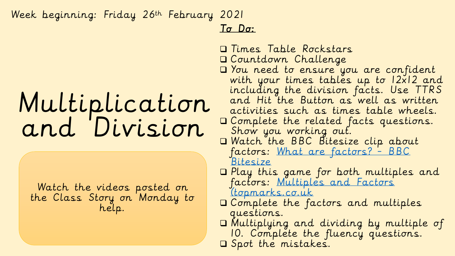## Week beginning: Friday 26th February 2021

## Multiplication and Division

Watch the videos posted on the Class Story on Monday to help.

## To Do:

- Times Table Rockstars Countdown Challenge You need to ensure you are confident with your times tables up to 12x12 and including the division facts. Use TTRS and Hit the Button as well as written activities such as times table wheels. Complete the related facts questions. Show you working out. Watch the BBC Bitesize clip about [factors: What are factors? -](https://www.bbc.co.uk/bitesize/topics/zfq7hyc/articles/zp6wfcw) BBC Bitesize Play this game for both multiples and [factors: Multiples and Factors](https://www.topmarks.co.uk/maths-games/multiples-and-factors) (topmarks.co.uk Complete the factors and multiples questions. Multiplying and dividing by multiple of 10. Complète the fluency questions.
	- Spot the mistakes.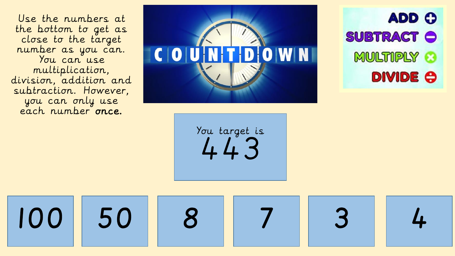Use the numbers at the bottom to get as close to the target number as you can. You can use multiplication, division, addition and subtraction. However, you can only use each number once.



**ADD O SUBTRACT O** MULTIPLY 3 **DIVIDE O** 

You target is 443

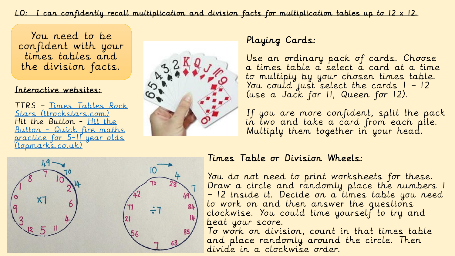LO: I can confidently recall multiplication and division facts for multiplication tables up to 12 x 12.

You need to be confident with your times tables and the division facts.

#### Interactive websites:

TTRS – Times Tables Rock [Stars \(ttrockstars.com\)](https://ttrockstars.com/) Hit the Button - Hit the Button - Quick fire maths [practice for 5-11 year olds](https://www.topmarks.co.uk/maths-games/hit-the-button)  (topmarks.co.uk)



### Playing Cards:

Use an ordinary pack of cards. Choose a times table a select a card at a time to multiply by your chosen times table. You could just select the cards 1 – 12 (use a Jack for 11, Queen for 12).

If you are more confident, split the pack in two and take a card from each pile. Multiply them together in your head.



#### Times Table or Division Wheels:

You do not need to print worksheets for these. Draw a circle and randomly place the numbers 1 – 12 inside it. Decide on a times table you need to work on and then answer the questions clockwise. You could time yourself to try and beat your score.

To work on division, count in that times table and place randomly around the circle. Then divide in a clockwise order.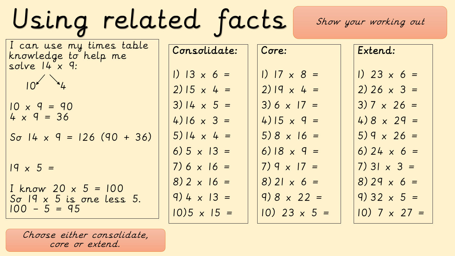Using related facts

Show your working out

| I can use my times table<br>knowledge to help me | Consolidate:       | Core:                | Extend:               |
|--------------------------------------------------|--------------------|----------------------|-----------------------|
| solve $14^\circ \times 9$ :<br>$10^{11}$         | 1) $13 \times 6 =$ | 1) $17 \times 8 =$   | 1) 23 $\times$ 6 =    |
|                                                  | $2) 15 \times 4 =$ | $2)$ $ 9 \times 4 =$ | $2) 26 \times 3 =$    |
| $10 \times 9 = 90$                               | $3)$ 14 x 5 =      | $3) 6 \times 17 =$   | $3) 7 \times 26 =$    |
| $4 \times 9 = 36$                                | 4) 16 $\times$ 3 = | 4) 15 $\times$ 9 =   | $4)8 \times 29 =$     |
| $S\sigma$ 14 x 9 = 126 (90 + 36)                 | $5)$ 14 x 4 =      | $5) 8 \times 16 =$   | $5)9 \times 26 =$     |
|                                                  | 6) $5 \times 13 =$ | 6) $18 \times 9 =$   | 6) 24 $\times$ 6 =    |
| $19 \times 5 =$                                  | $7) 6 \times 16 =$ | $7)9 \times 17 =$    | $7)$ 31 $\times$ 3 =  |
| $I$ know 20 $\times$ 5 = 100                     | $8) 2 \times 16 =$ | $8)$ 21 x 6 =        | $8) 29 \times 6 =$    |
| $\text{So}$ 19 x 5 is one less 5.                | $9) 4 \times 13 =$ | $9) 8 \times 22 =$   | $9) 32 \times 5 =$    |
| $100 - 5 = 95$                                   | $10)5 \times 15 =$ | $10)$ 23 x 5 =       | $10)$ 7 $\times$ 27 = |

Choose either consolidate, core or extend.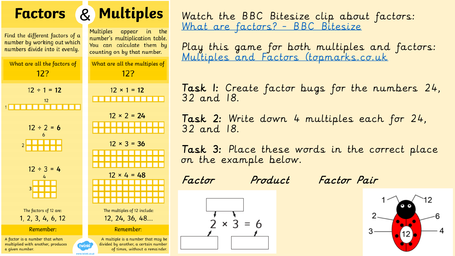

Watch the BBC Bitesize clip about factors: [What are factors? -](https://www.bbc.co.uk/bitesize/topics/zfq7hyc/articles/zp6wfcw) BBC Bitesize

Play this game for both multiples and factors: [Multiples and Factors \(topmarks.co.uk](https://www.topmarks.co.uk/maths-games/multiples-and-factors)

lask I: Create factor bugs for the numbers 24, 32 and 18.

Task 2: Write down 4 multiples each for 24, 32 and 18.

Task 3: Place these words in the correct place on the example below.

 $\times$  3



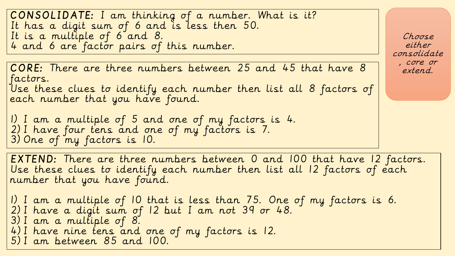CONSOLIDATE: I am thinking of a number. What is it? It has a digit sum of 6 and is less then 50. It is a multiple of 6 and 8. 4 and 6 are factor pairs of this number.

CORE: There are three numbers between 25 and 45 that have 8 factors. Use these clues to identify each number then list all 8 factors of each number that you have found.

1) I am a multiple of 5 and one of my factors is 4. 2) I have four tens and one of my factors is 7. 3) One of my factors is 10.

EXTEND: There are three numbers between 0 and 100 that have 12 factors. Use these clues to identify each number then list all 12 factors of each number that you have found.

1) I am a multiple of 10 that is less than 75. One of my factors is 6. 2) I have a digit sum of 12 but I am not 39 or 48. 3) I am a multiple of 8. 4) I have nine tens and one of my factors is 12. 5) I am between 85 and 100.

Choose either consolidate , core or extend.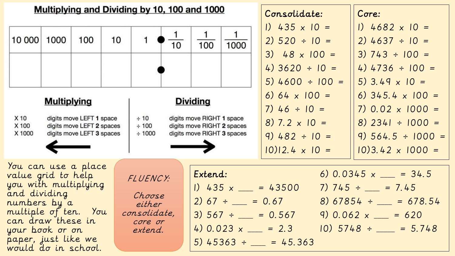| Multiplying and Dividing by 10, 100 and 1000                                                                                                                                                                                                                                          |                    |                                                                                    |         |                              | Consolidate:                                          | Core:                                                                                                                                                                                                                                     |      |                                                                                                                       |                                                                                                                            |
|---------------------------------------------------------------------------------------------------------------------------------------------------------------------------------------------------------------------------------------------------------------------------------------|--------------------|------------------------------------------------------------------------------------|---------|------------------------------|-------------------------------------------------------|-------------------------------------------------------------------------------------------------------------------------------------------------------------------------------------------------------------------------------------------|------|-----------------------------------------------------------------------------------------------------------------------|----------------------------------------------------------------------------------------------------------------------------|
| 10 000                                                                                                                                                                                                                                                                                | 1000               | 100                                                                                | 10      |                              | 10                                                    | 100                                                                                                                                                                                                                                       | 1000 | $1)$ 435 x 10 =<br>$2) 520 \div 10 =$<br>$3)$ 48 x 100 =<br>4) $3620 \div 10 =$<br>$5)$ 4600 ÷ 100 =                  | 1) $4682 \times 10 =$<br>$2)$ 4637 ÷ 10 =<br>$3) 743 \div 100 =$<br>4) $4736 \div 100 =$<br>5) 3.49 $\times$ 10 =          |
| X 10<br>X 100<br>X 1000                                                                                                                                                                                                                                                               | <b>Multiplying</b> | digits move LEFT 1 space<br>digits move LEFT 2 spaces<br>digits move LEFT 3 spaces |         | ± 10<br>$\div$ 100<br>± 1000 |                                                       | <b>Dividing</b><br>digits move RIGHT 1 space<br>digits move RIGHT 2 spaces<br>digits move RIGHT 3 spaces                                                                                                                                  |      | 6) 64 $\times$ 100 =<br>$7)$ 46 ÷ 10 =<br>$8)$ 7.2 $\times$ 10 =<br>$9)$ 482 ÷ 10 =<br>$ 0\rangle$ 12.4 $\times$ 10 = | 6) $345.4 \times 100 =$<br>$7) 0.02 \times 1000 =$<br>$8)$ 2341 ÷ 1000 =<br>$9)$ 564.5 ÷ 1000 =<br>$10)3.42 \times 1000 =$ |
| You can use a place<br>value grid to help<br>FLUENCY:<br>you with multiplying<br>and dividing<br>Choose<br>numbers by a<br>either<br>multiple of ten. You<br>consolidate,<br>can draw these in<br>core or<br>your book or on<br>extend.<br>paper, just like we<br>would do in school. |                    |                                                                                    | Extend: | 2) $67 \div \_ = 0.67$       | 1) $435 \times \_ = 43500$<br>$5)$ 45363 ÷ _ = 45.363 | 6) $0.0345 \times \_ = 34.5$<br>7) $745 \div \_ = 7.45$<br>$8)$ 67854 ÷ __ = 678.54<br>3) $567 \div \underline{\hspace{1cm}} = 0.567$ 9) $0.062 \times \underline{\hspace{1cm}} = 620$<br>4) $0.023 \times$ = 2.3 10) $5748 \div$ = 5.748 |      |                                                                                                                       |                                                                                                                            |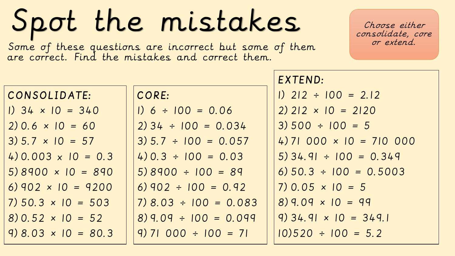# Spot the mistakes

Some of these questions are incorrect but some of them or extend. are correct. Find the mistakes and correct them.

Choose either consolidate, core

|                            |                           | EXTEND:                            |
|----------------------------|---------------------------|------------------------------------|
| CONSOLIDATE:               | CORE:                     | $1)$ 212 ÷ 100 = 2.12              |
| $1)$ 34 $\times$ 10 = 340  | $1) 6 \div 100 = 0.06$    | $2)$ 212 $\times$ 10 = 2120        |
| $2) 0.6 \times 10 = 60$    | $2)$ 34 ÷ 100 = 0.034     | $3) 500 \div 100 = 5$              |
| $3) 5.7 \times 10 = 57$    | $3) 5.7 \div 100 = 0.057$ | $(4)$ 71 000 $\times$ 10 = 710 000 |
| 4) 0.003 $\times$ 10 = 0.3 | $(4)$ 0.3 ÷ 100 = 0.03    | $5)$ 34.91 ÷ 100 = 0.349           |
| $5)8900 \times 10 = 890$   | $5)8900 \div 100 = 89$    | $6) 50.3 \div 100 = 0.5003$        |
| 6) 902 $\times$ 10 = 9200  | $(6)$ 902 ÷ 100 = 0.92    | $7) 0.05 \times 10 = 5$            |
| $7) 50.3 \times 10 = 503$  | $7)$ 8.03 ÷ 100 = 0.083   | $8)9.09 \times 10 = 99$            |
| $8) 0.52 \times 10 = 52$   | $8)$ 9.09 ÷ 100 = 0.099   | $9)$ 34.91 $\times$ 10 = 349.1     |
| $9) 8.03 \times 10 = 80.3$ | $9)$ 71 000 ÷ 100 = 71    | $10)520 \div 100 = 5.2$            |